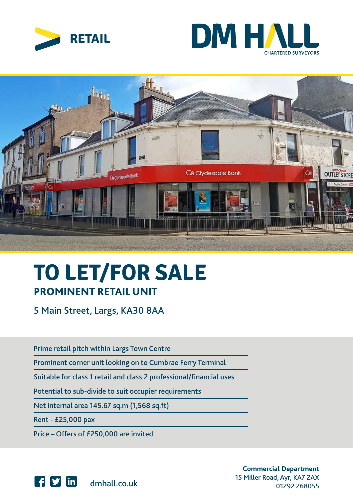





# **TO LET/FOR SALE** PROMINENT RETAIL UNIT

5 Main Street, Largs, KA30 8AA

Prime retail pitch within Largs Town Centre

Prominent corner unit looking on to Cumbrae Ferry Terminal

Suitable for class 1 retail and class 2 professional/financial uses

Potential to sub-divide to suit occupier requirements

Net internal area 145.67 sq.m (1,568 sq.ft)

Rent - £25,000 pax

Price – Offers of £250,000 are invited



**Commercial Department** 15 Miller Road, Ayr, KA7 2AX dmhall.co.uk 01292 268055